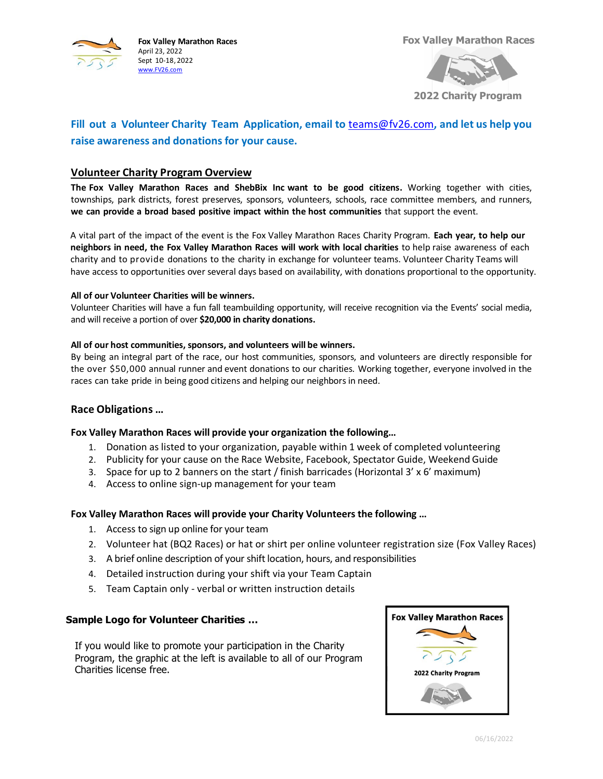

**Fox Valley Marathon Races** April 23, 2022 Sept 10-18, 2022 [www.FV26.com](http://www.fv26.com/)

**Fox Valley Marathon Races**



**2022 Charity Program**

# **Fill out a Volunteer Charity Team Application, email to** [teams@fv26.com](mailto:teams@fv26.com)**, and let us help you raise awareness and donations for your cause.**

## **Volunteer Charity Program Overview**

**The Fox Valley Marathon Races and ShebBix Inc want to be good citizens.** Working together with cities, townships, park districts, forest preserves, sponsors, volunteers, schools, race committee members, and runners, **we can provide a broad based positive impact within the host communities** that support the event.

A vital part of the impact of the event is the Fox Valley Marathon Races Charity Program. **Each year, to help our neighbors in need, the Fox Valley Marathon Races will work with local charities** to help raise awareness of each charity and to provide donations to the charity in exchange for volunteer teams. Volunteer Charity Teams will have access to opportunities over several days based on availability, with donations proportional to the opportunity.

#### **All of our Volunteer Charities will be winners.**

Volunteer Charities will have a fun fall teambuilding opportunity, will receive recognition via the Events' social media, and will receive a portion of over **\$20,000 in charity donations.** 

#### **All of our host communities, sponsors, and volunteers will be winners.**

By being an integral part of the race, our host communities, sponsors, and volunteers are directly responsible for the over \$50,000 annual runner and event donations to our charities. Working together, everyone involved in the races can take pride in being good citizens and helping our neighbors in need.

## **Race Obligations …**

## **Fox Valley Marathon Races will provide your organization the following…**

- 1. Donation as listed to your organization, payable within 1 week of completed volunteering
- 2. Publicity for your cause on the Race Website, Facebook, Spectator Guide, Weekend Guide
- 3. Space for up to 2 banners on the start / finish barricades (Horizontal 3' x 6' maximum)
- 4. Access to online sign-up management for your team

## **Fox Valley Marathon Races will provide your Charity Volunteers the following …**

- 1. Access to sign up online for your team
- 2. Volunteer hat (BQ2 Races) or hat or shirt per online volunteer registration size (Fox Valley Races)
- 3. A brief online description of your shift location, hours, and responsibilities
- 4. Detailed instruction during your shift via your Team Captain
- 5. Team Captain only verbal or written instruction details

## **Sample Logo for Volunteer Charities …**

If you would like to promote your participation in the Charity Program, the graphic at the left is available to all of our Program Charities license free.

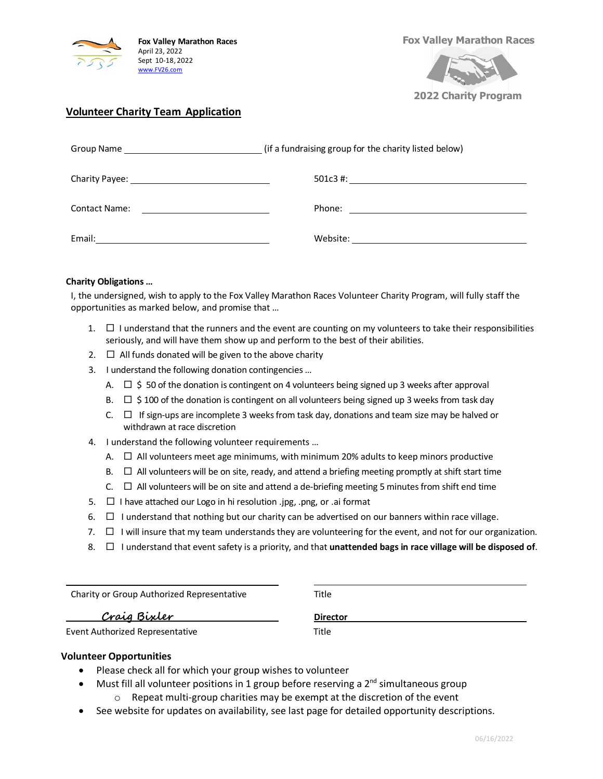

**Fox Valley Marathon Races**



**2022 Charity Program**

# **Volunteer Charity Team Application**

|                      | (if a fundraising group for the charity listed below) |  |
|----------------------|-------------------------------------------------------|--|
|                      |                                                       |  |
| <b>Contact Name:</b> |                                                       |  |
| Email:               |                                                       |  |

#### **Charity Obligations …**

I, the undersigned, wish to apply to the Fox Valley Marathon Races Volunteer Charity Program, will fully staff the opportunities as marked below, and promise that …

- 1.  $\Box$  I understand that the runners and the event are counting on my volunteers to take their responsibilities seriously, and will have them show up and perform to the best of their abilities.
- 2.  $\Box$  All funds donated will be given to the above charity
- 3. I understand the following donation contingencies …
	- A.  $\Box$  \$50 of the donation is contingent on 4 volunteers being signed up 3 weeks after approval
	- B.  $\Box$  \$ 100 of the donation is contingent on all volunteers being signed up 3 weeks from task day
	- C.  $\Box$  If sign-ups are incomplete 3 weeks from task day, donations and team size may be halved or withdrawn at race discretion
- 4. I understand the following volunteer requirements …
	- A.  $\Box$  All volunteers meet age minimums, with minimum 20% adults to keep minors productive
	- $B.$   $\Box$  All volunteers will be on site, ready, and attend a briefing meeting promptly at shift start time
	- $C.$   $\Box$  All volunteers will be on site and attend a de-briefing meeting 5 minutes from shift end time
- 5.  $\Box$  I have attached our Logo in hi resolution .jpg, .png, or .ai format
- 6.  $\Box$  I understand that nothing but our charity can be advertised on our banners within race village.
- 7.  $\Box$  I will insure that my team understands they are volunteering for the event, and not for our organization.
- 8.  $\Box$  I understand that event safety is a priority, and that **unattended bags in race village will be disposed of**.

Charity or Group Authorized Representative Title

**Craig Bixler Director**

Event Authorized Representative Title

## **Volunteer Opportunities**

l

- Please check all for which your group wishes to volunteer
- Must fill all volunteer positions in 1 group before reserving a  $2<sup>nd</sup>$  simultaneous group
	- o Repeat multi-group charities may be exempt at the discretion of the event
- See website for updates on availability, see last page for detailed opportunity descriptions.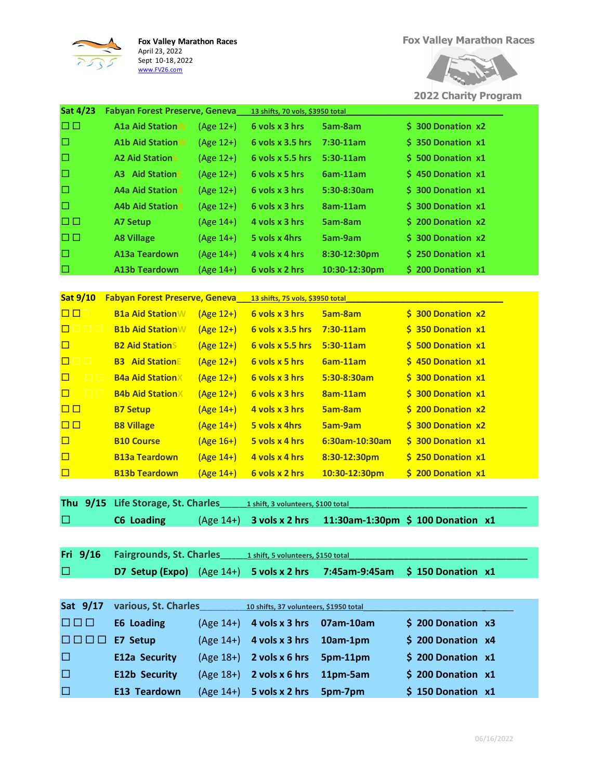

**Fox Valley Marathon Races** April 23, 2022 Sept 10-18, 2022

[www.FV26.com](http://www.fv26.com/)



**2022 Charity Program**

| <b>Sat 4/23</b><br>Fabyan Forest Preserve, Geneva<br>13 shifts, 70 vols, \$3950 total        |                          |
|----------------------------------------------------------------------------------------------|--------------------------|
| $\Box$<br><b>A1a Aid StationW</b><br>6 vols x 3 hrs<br>(Age 12+)<br>5am-8am                  | <b>S</b> 300 Donation x2 |
| $\Box$<br><b>A1b Aid StationW</b><br>$6$ vols $x$ 3.5 hrs<br>(Age 12+)<br>$7:30-11am$        | \$ 350 Donation x1       |
| □<br><b>A2 Aid StationS</b><br>(Age 12+)<br>$6$ vols $x$ 5.5 hrs<br>$5:30-11am$              | $$500$ Donation $x1$     |
| $\Box$<br><b>A3 Aid StationE</b><br>6 vols x 5 hrs<br>6am-11am<br>(Age 12+)                  | $$450$ Donation $x1$     |
| $\Box$<br><b>A4a Aid StationX</b><br>6 vols x 3 hrs<br>$(Age 12+)$<br>5:30-8:30am            | $$300$ Donation $x1$     |
| □<br><b>A4b Aid StationX</b><br>(Age 12+)<br>6 vols x 3 hrs<br>8am-11am                      | $$300$ Donation $x1$     |
| $\Box$<br>4 vols x 3 hrs<br>5am-8am<br><b>A7 Setup</b><br>(Age 14+)                          | \$ 200 Donation x2       |
| □□<br>5 vols x 4hrs<br>5am-9am<br><b>A8 Village</b><br>(Age 14+)                             | \$ 300 Donation x2       |
| □<br>A13a Teardown<br>(Age 14+)<br>4 vols x 4 hrs<br>8:30-12:30pm                            | \$ 250 Donation x1       |
| $\Box$<br><b>A13b Teardown</b><br>6 vols x 2 hrs<br>(Age 14+)<br>10:30-12:30pm               | \$ 200 Donation x1       |
|                                                                                              |                          |
| <b>Sat 9/10</b><br><b>Fabyan Forest Preserve, Geneva</b><br>13 shifts, 75 vols, \$3950 total |                          |
| $\Box$<br>6 vols x 3 hrs<br><b>B1a Aid Station W</b><br>$(Age 12+)$<br>5am-8am               | \$ 300 Donation x2       |
| $\Box$<br><b>B1b Aid StationW</b><br>6 vols x 3.5 hrs<br>$7:30-11am$<br>$(Age 12+)$          | \$ 350 Donation x1       |
| $\Box$<br><b>B2 Aid Stations</b><br>$(Age 12+)$<br>6 vols x 5.5 hrs<br>$5:30-11am$           | $$500$ Donation $x1$     |
| $\Box$<br>3 O I<br><b>B3</b> Aid StationE<br>$(Age 12+)$<br>6 vols x 5 hrs<br>6am-11am       | \$ 450 Donation x1       |
| <b>B4a Aid StationX</b><br>$\Box$<br>6 vols x 3 hrs<br>5:30-8:30am<br>$(Age 12+)$            | $$300$ Donation $x1$     |
| $\Box$<br><b>B4b Aid StationX</b><br>6 vols x 3 hrs<br>$(Age 12+)$<br>8am-11am               | \$ 300 Donation x1       |
| $\Box$<br>4 vols x 3 hrs<br><b>5am-8am</b><br><b>B7 Setup</b><br>$(Age 14+)$                 | \$ 200 Donation x2       |
| $\Box$<br>5 vols x 4hrs<br><b>5am-9am</b><br><b>B8 Village</b><br>$(Age 14+)$                | $$300$ Donation $x2$     |
| $\Box$<br><b>B10 Course</b><br>5 vols x 4 hrs<br>6:30am-10:30am<br>$(Age 16+)$               | \$ 300 Donation x1       |
| $\Box$<br><b>B13a Teardown</b><br>$(Age 14+)$<br>4 vols x 4 hrs<br>8:30-12:30pm              | \$ 250 Donation x1       |
| $\Box$<br><b>B13b Teardown</b><br>$(Age 14+)$<br>6 vols x 2 hrs<br>10:30-12:30pm             | \$ 200 Donation x1       |
|                                                                                              |                          |
| Thu 9/15<br>Life Storage, St. Charles<br>1 shift, 3 volunteers, \$100 total                  |                          |
| □<br><b>C6 Loading</b><br>11:30am-1:30pm \$ 100 Donation x1<br>$(Age 14+)$<br>3 vols x 2 hrs |                          |
|                                                                                              |                          |
| Fri 9/16<br>Fairgrounds, St. Charles<br>1 shift, 5 volunteers, \$150 total                   |                          |
| □<br>D7 Setup (Expo) (Age 14+)<br>5 vols x 2 hrs<br>7:45am-9:45am                            | $$150$ Donation $x1$     |
|                                                                                              |                          |
| Sat 9/17<br>various, St. Charles<br>10 shifts, 37 volunteers, \$1950 total                   |                          |
| 000<br><b>E6 Loading</b><br>(Age 14+)<br>4 vols x 3 hrs<br>07am-10am                         |                          |
|                                                                                              | $$200$ Donation $x3$     |
| E7 Setup<br>$(Age 14+)$<br>4 vols x 3 hrs<br>10am-1pm<br>i di ji bi bi bi bi b               | \$ 200 Donation x4       |

 **E12b Security** (Age 18+) **2 vols x 6 hrs 11pm-5am \$ 200 Donation x1 E13 Teardown** (Age 14+) **5 vols x 2 hrs 5pm-7pm \$ 150 Donation x1**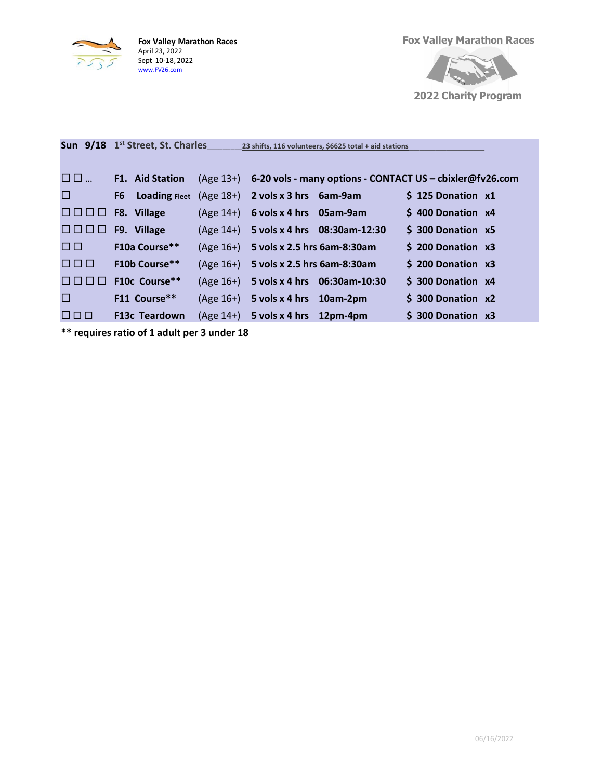

**Fox Valley Marathon Races** April 23, 2022 Sept 10-18, 2022 [www.FV26.com](http://www.fv26.com/)

**Fox Valley Marathon Races**



**2022 Charity Program**

|                               | Sun 9/18 1 <sup>st</sup> Street, St. Charles |           | 23 shifts, 116 volunteers, \$6625 total + aid stations             |                          |
|-------------------------------|----------------------------------------------|-----------|--------------------------------------------------------------------|--------------------------|
| $\blacksquare$ $\blacksquare$ | <b>F1.</b> Aid Station                       |           | (Age 13+) 6-20 vols - many options - CONTACT US - cbixler@fv26.com |                          |
| $\Box$                        |                                              |           | F6 Loading Fleet $(Age 18+)$ 2 vols x 3 hrs 6am-9am                | \$125 Donation x1        |
| 199 P P                       | F8. Village                                  | (Age 14+) | 6 vols x 4 hrs 05am-9am                                            | \$400 Donation x4        |
| 8000                          | F9. Village                                  |           | (Age 14+) 5 vols x 4 hrs 08:30am-12:30                             | \$ 300 Donation x5       |
| 00.                           | <b>F10a Course**</b>                         |           | $(Age 16+)$ 5 vols x 2.5 hrs 6am-8:30am                            | \$ 200 Donation x3       |
| <u>FIFITI </u>                | <b>F10b Course**</b>                         |           | (Age 16+) 5 vols x 2.5 hrs 6am-8:30am                              | $$200$ Donation $x3$     |
|                               | F10c Course**                                |           | (Age 16+) 5 vols x 4 hrs 06:30am-10:30                             | \$ 300 Donation x4       |
| $\Box$                        | F11 Course**                                 |           | $(Age 16+)$ 5 vols x 4 hrs 10am-2pm                                | <b>S</b> 300 Donation x2 |
| 1 2 3 3 3 3 4                 | <b>F13c Teardown</b>                         |           | $(Age 14+)$ 5 vols x 4 hrs 12pm-4pm                                | \$300 Donation x3        |

**\*\* requires ratio of 1 adult per 3 under 18**